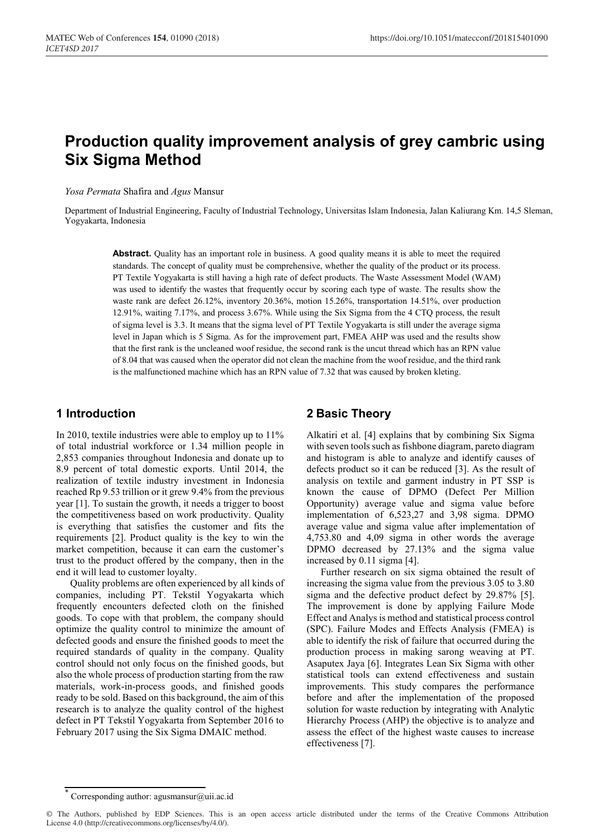# **Production quality improvement analysis of grey cambric using Six Sigma Method**

*Yosa Permata* Shafira and *Agus* Mansur

Department of Industrial Engineering, Faculty of Industrial Technology, Universitas Islam Indonesia, Jalan Kaliurang Km. 14,5 Sleman, Yogyakarta, Indonesia

**Abstract.** Quality has an important role in business. A good quality means it is able to meet the required standards. The concept of quality must be comprehensive, whether the quality of the product or its process. PT Textile Yogyakarta is still having a high rate of defect products. The Waste Assessment Model (WAM) was used to identify the wastes that frequently occur by scoring each type of waste. The results show the waste rank are defect 26.12%, inventory 20.36%, motion 15.26%, transportation 14.51%, over production 12.91%, waiting 7.17%, and process 3.67%. While using the Six Sigma from the 4 CTQ process, the result of sigma level is 3.3. It means that the sigma level of PT Textile Yogyakarta is still under the average sigma level in Japan which is 5 Sigma. As for the improvement part, FMEA AHP was used and the results show that the first rank is the uncleaned woof residue, the second rank is the uncut thread which has an RPN value of 8.04 that was caused when the operator did not clean the machine from the woof residue, and the third rank is the malfunctioned machine which has an RPN value of 7.32 that was caused by broken kleting.

## **1 Introduction**

In 2010, textile industries were able to employ up to 11% of total industrial workforce or 1.34 million people in 2,853 companies throughout Indonesia and donate up to 8.9 percent of total domestic exports. Until 2014, the realization of textile industry investment in Indonesia reached Rp 9.53 trillion or it grew 9.4% from the previous year [1]. To sustain the growth, it needs a trigger to boost the competitiveness based on work productivity. Quality is everything that satisfies the customer and fits the requirements [2]. Product quality is the key to win the market competition, because it can earn the customer's trust to the product offered by the company, then in the end it will lead to customer loyalty.

Quality problems are often experienced by all kinds of companies, including PT. Tekstil Yogyakarta which frequently encounters defected cloth on the finished goods. To cope with that problem, the company should optimize the quality control to minimize the amount of defected goods and ensure the finished goods to meet the required standards of quality in the company. Quality control should not only focus on the finished goods, but also the whole process of production starting from the raw materials, work-in-process goods, and finished goods ready to be sold. Based on this background, the aim of this research is to analyze the quality control of the highest defect in PT Tekstil Yogyakarta from September 2016 to February 2017 using the Six Sigma DMAIC method.

# **2 Basic Theory**

Alkatiri et al. [4] explains that by combining Six Sigma with seven tools such as fishbone diagram, pareto diagram and histogram is able to analyze and identify causes of defects product so it can be reduced [3]. As the result of analysis on textile and garment industry in PT SSP is known the cause of DPMO (Defect Per Million Opportunity) average value and sigma value before implementation of 6,523,27 and 3,98 sigma. DPMO average value and sigma value after implementation of 4,753.80 and 4,09 sigma in other words the average DPMO decreased by 27.13% and the sigma value increased by 0.11 sigma [4].

Further research on six sigma obtained the result of increasing the sigma value from the previous 3.05 to 3.80 sigma and the defective product defect by 29.87% [5]. The improvement is done by applying Failure Mode Effect and Analys is method and statistical process control (SPC). Failure Modes and Effects Analysis (FMEA) is able to identify the risk of failure that occurred during the production process in making sarong weaving at PT. Asaputex Jaya [6]. Integrates Lean Six Sigma with other statistical tools can extend effectiveness and sustain improvements. This study compares the performance before and after the implementation of the proposed solution for waste reduction by integrating with Analytic Hierarchy Process (AHP) the objective is to analyze and assess the effect of the highest waste causes to increase effectiveness [7].

Corresponding author: agusmansur@uii.ac.id

<sup>©</sup> The Authors, published by EDP Sciences. This is an open access article distributed under the terms of the Creative Commons Attribution License 4.0 (http://creativecommons.org/licenses/by/4.0/).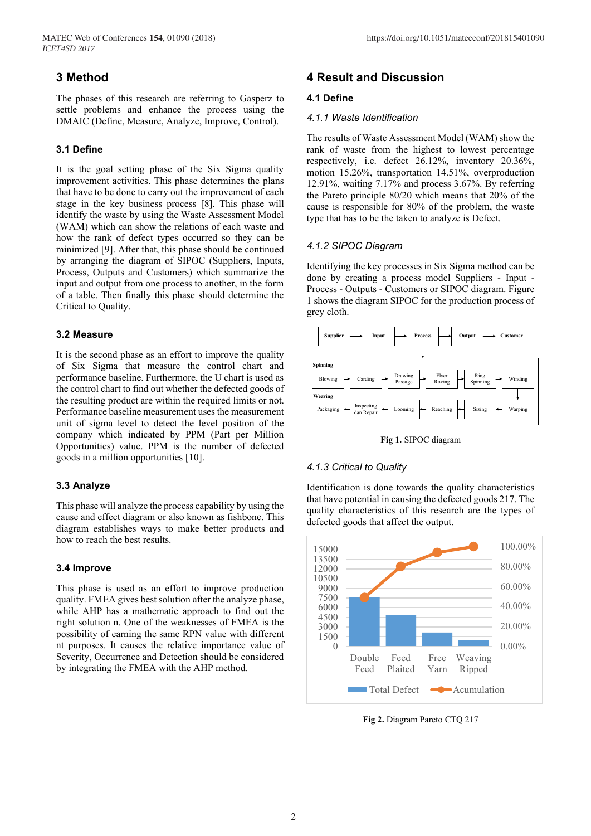## **3 Method**

The phases of this research are referring to Gasperz to settle problems and enhance the process using the DMAIC (Define, Measure, Analyze, Improve, Control).

### **3.1 Define**

It is the goal setting phase of the Six Sigma quality improvement activities. This phase determines the plans that have to be done to carry out the improvement of each stage in the key business process [8]. This phase will identify the waste by using the Waste Assessment Model (WAM) which can show the relations of each waste and how the rank of defect types occurred so they can be minimized [9]. After that, this phase should be continued by arranging the diagram of SIPOC (Suppliers, Inputs, Process, Outputs and Customers) which summarize the input and output from one process to another, in the form of a table. Then finally this phase should determine the Critical to Quality.

#### **3.2 Measure**

It is the second phase as an effort to improve the quality of Six Sigma that measure the control chart and performance baseline. Furthermore, the U chart is used as the control chart to find out whether the defected goods of the resulting product are within the required limits or not. Performance baseline measurement uses the measurement unit of sigma level to detect the level position of the company which indicated by PPM (Part per Million Opportunities) value. PPM is the number of defected goods in a million opportunities [10].

#### **3.3 Analyze**

This phase will analyze the process capability by using the cause and effect diagram or also known as fishbone. This diagram establishes ways to make better products and how to reach the best results.

#### **3.4 Improve**

This phase is used as an effort to improve production quality. FMEA gives best solution after the analyze phase, while AHP has a mathematic approach to find out the right solution n. One of the weaknesses of FMEA is the possibility of earning the same RPN value with different nt purposes. It causes the relative importance value of Severity, Occurrence and Detection should be considered by integrating the FMEA with the AHP method.

### **4 Result and Discussion**

#### **4.1 Define**

#### *4.1.1 Waste Identification*

The results of Waste Assessment Model (WAM) show the rank of waste from the highest to lowest percentage respectively, i.e. defect 26.12%, inventory 20.36%, motion 15.26%, transportation 14.51%, overproduction 12.91%, waiting 7.17% and process 3.67%. By referring the Pareto principle 80/20 which means that 20% of the cause is responsible for 80% of the problem, the waste type that has to be the taken to analyze is Defect.

#### *4.1.2 SIPOC Diagram*

Identifying the key processes in Six Sigma method can be done by creating a process model Suppliers - Input - Process - Outputs - Customers or SIPOC diagram. Figure 1 shows the diagram SIPOC for the production process of grey cloth.



**Fig 1.** SIPOC diagram

#### *4.1.3 Critical to Quality*

Identification is done towards the quality characteristics that have potential in causing the defected goods 217. The quality characteristics of this research are the types of defected goods that affect the output.



**Fig 2.** Diagram Pareto CTQ 217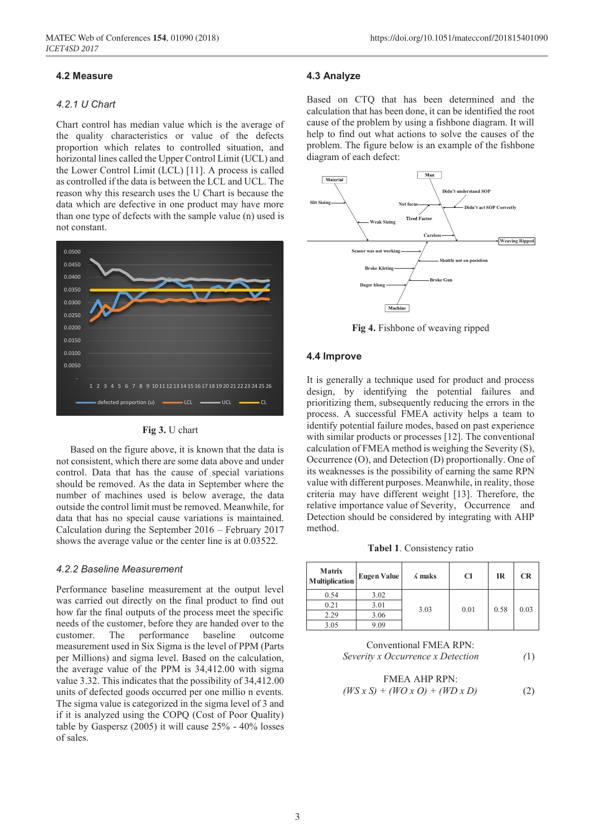#### **4.2 Measure**

#### *4.2.1 U Chart*

Chart control has median value which is the average of the quality characteristics or value of the defects proportion which relates to controlled situation, and horizontal lines called the Upper Control Limit (UCL) and the Lower Control Limit (LCL) [11]. A process is called as controlled if the data is between the LCL and UCL. The reason why this research uses the U Chart is because the data which are defective in one product may have more than one type of defects with the sample value (n) used is not constant.





Based on the figure above, it is known that the data is not consistent, which there are some data above and under control. Data that has the cause of special variations should be removed. As the data in September where the number of machines used is below average, the data outside the control limit must be removed. Meanwhile, for data that has no special cause variations is maintained. Calculation during the September 2016 – February 2017 shows the average value or the center line is at 0.03522.

#### *4.2.2 Baseline Measurement*

Performance baseline measurement at the output level was carried out directly on the final product to find out how far the final outputs of the process meet the specific needs of the customer, before they are handed over to the customer. The performance baseline outcome measurement used in Six Sigma is the level of PPM (Parts per Millions) and sigma level. Based on the calculation, the average value of the PPM is 34,412.00 with sigma value 3.32. This indicates that the possibility of 34,412.00 units of defected goods occurred per one millio n events. The sigma value is categorized in the sigma level of 3 and if it is analyzed using the COPQ (Cost of Poor Quality) table by Gaspersz (2005) it will cause 25% - 40% losses of sales.

#### **4.3 Analyze**

Based on CTQ that has been determined and the calculation that has been done, it can be identified the root cause of the problem by using a fishbone diagram. It will help to find out what actions to solve the causes of the problem. The figure below is an example of the fishbone diagram of each defect:



**Fig 4.** Fishbone of weaving ripped

#### **4.4 Improve**

It is generally a technique used for product and process design, by identifying the potential failures and prioritizing them, subsequently reducing the errors in the process. A successful FMEA activity helps a team to identify potential failure modes, based on past experience with similar products or processes [12]. The conventional calculation of FMEA method is weighing the Severity (S), Occurrence (O), and Detection (D) proportionally. One of its weaknesses is the possibility of earning the same RPN value with different purposes. Meanwhile, in reality, those criteria may have different weight [13]. Therefore, the relative importance value of Severity, Occurrence and Detection should be considered by integrating with AHP method.

**Tabel 1**. Consistency ratio

| <b>Matrix</b><br><b>Multiplication</b> | Eugen Value | $\Lambda$ maks | <b>CI</b> | <b>IR</b> | <b>CR</b> |
|----------------------------------------|-------------|----------------|-----------|-----------|-----------|
| 0.54                                   | 3.02        |                |           |           |           |
| 0.21                                   | 3.01        | 3.03           | 0.01      | 0.58      | 0.03      |
| 2.29                                   | 3.06        |                |           |           |           |
| 3.05                                   | 9.09        |                |           |           |           |

Conventional FMEA RPN: *Severity x Occurrence x Detection (*1)

$$
\text{FMEA AHP RPN:} \\
(WS \, x \, S) + (WO \, x \, O) + (WD \, x \, D) \tag{2}
$$